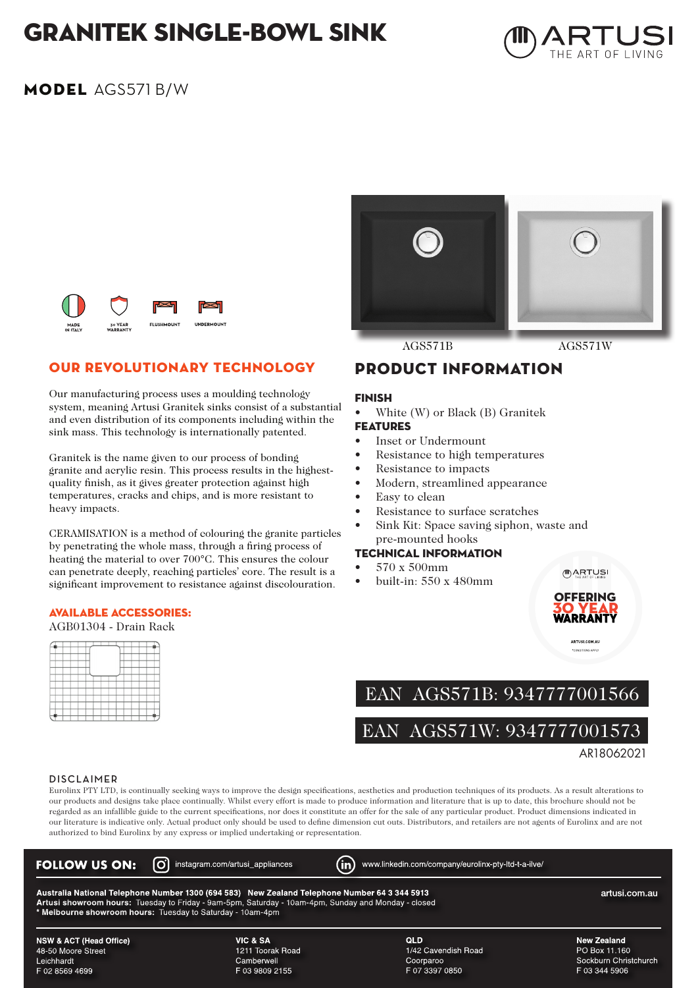## GRANITEK single-bowl sink



### MODEL AGS571 B/W





#### OUR REVOLUTIONARY TECHNOLOGY

Our manufacturing process uses a moulding technology system, meaning Artusi Granitek sinks consist of a substantial and even distribution of its components including within the sink mass. This technology is internationally patented.

Granitek is the name given to our process of bonding granite and acrylic resin. This process results in the highestquality finish, as it gives greater protection against high temperatures, cracks and chips, and is more resistant to heavy impacts.

CERAMISATION is a method of colouring the granite particles by penetrating the whole mass, through a firing process of heating the material to over 700°C. This ensures the colour can penetrate deeply, reaching particles' core. The result is a significant improvement to resistance against discolouration.

#### AVAILABLE ACCESSORIES:

AGB01304 - Drain Rack

PRODUCT INFORMATION

#### FINISH

- White (W) or Black (B) Granitek FEATURES
- Inset or Undermount
- Resistance to high temperatures
- Resistance to impacts
- Modern, streamlined appearance
- Easy to clean
- Resistance to surface scratches
- Sink Kit: Space saving siphon, waste and pre-mounted hooks

#### TECHNICAL INFORMATION

- 570 x 500mm
- built-in: 550 x 480mm



(III) ARTUSI

EAN AGS571B: 9347777001566

EAN AGS571W: 9347777001573

AR18062021

#### **DISCLAIMER**

Eurolinx PTY LTD, is continually seeking ways to improve the design specifications, aesthetics and production techniques of its products. As a result alterations to our products and designs take place continually. Whilst every effort is made to produce information and literature that is up to date, this brochure should not be regarded as an infallible guide to the current specifications, nor does it constitute an offer for the sale of any particular product. Product dimensions indicated in our literature is indicative only. Actual product only should be used to define dimension cut outs. Distributors, and retailers are not agents of Eurolinx and are not authorized to bind Eurolinx by any express or implied undertaking or representation.

| <b>FOLLOW US ON:</b>                                                                                                                                                                                                                                                              | (O) instagram.com/artusi_appliances | www.linkedin.com/company/eurolinx-pty-ltd-t-a-ilve/ |                       |  |  |  |  |  |  |
|-----------------------------------------------------------------------------------------------------------------------------------------------------------------------------------------------------------------------------------------------------------------------------------|-------------------------------------|-----------------------------------------------------|-----------------------|--|--|--|--|--|--|
| Australia National Telephone Number 1300 (694 583) New Zealand Telephone Number 64 3 344 5913<br>artusi.com.au<br>Artusi showroom hours: Tuesday to Friday - 9am-5pm, Saturday - 10am-4pm, Sunday and Monday - closed<br>Melbourne showroom hours: Tuesday to Saturday - 10am-4pm |                                     |                                                     |                       |  |  |  |  |  |  |
| <b>NSW &amp; ACT (Head Office)</b>                                                                                                                                                                                                                                                | VIC & SA                            | <b>QLD</b>                                          | New Zealand           |  |  |  |  |  |  |
| 48-50 Moore Street                                                                                                                                                                                                                                                                | 1211 Toorak Road                    | 1/42 Cavendish Road                                 | PO Box 11.160         |  |  |  |  |  |  |
| Leichhardt                                                                                                                                                                                                                                                                        | Camberwell                          | Coorparoo                                           | Sockburn Christchurch |  |  |  |  |  |  |
| F 02 8569 4699                                                                                                                                                                                                                                                                    | F 03 9809 2155                      | F 07 3397 0850                                      | F 03 344 5906         |  |  |  |  |  |  |